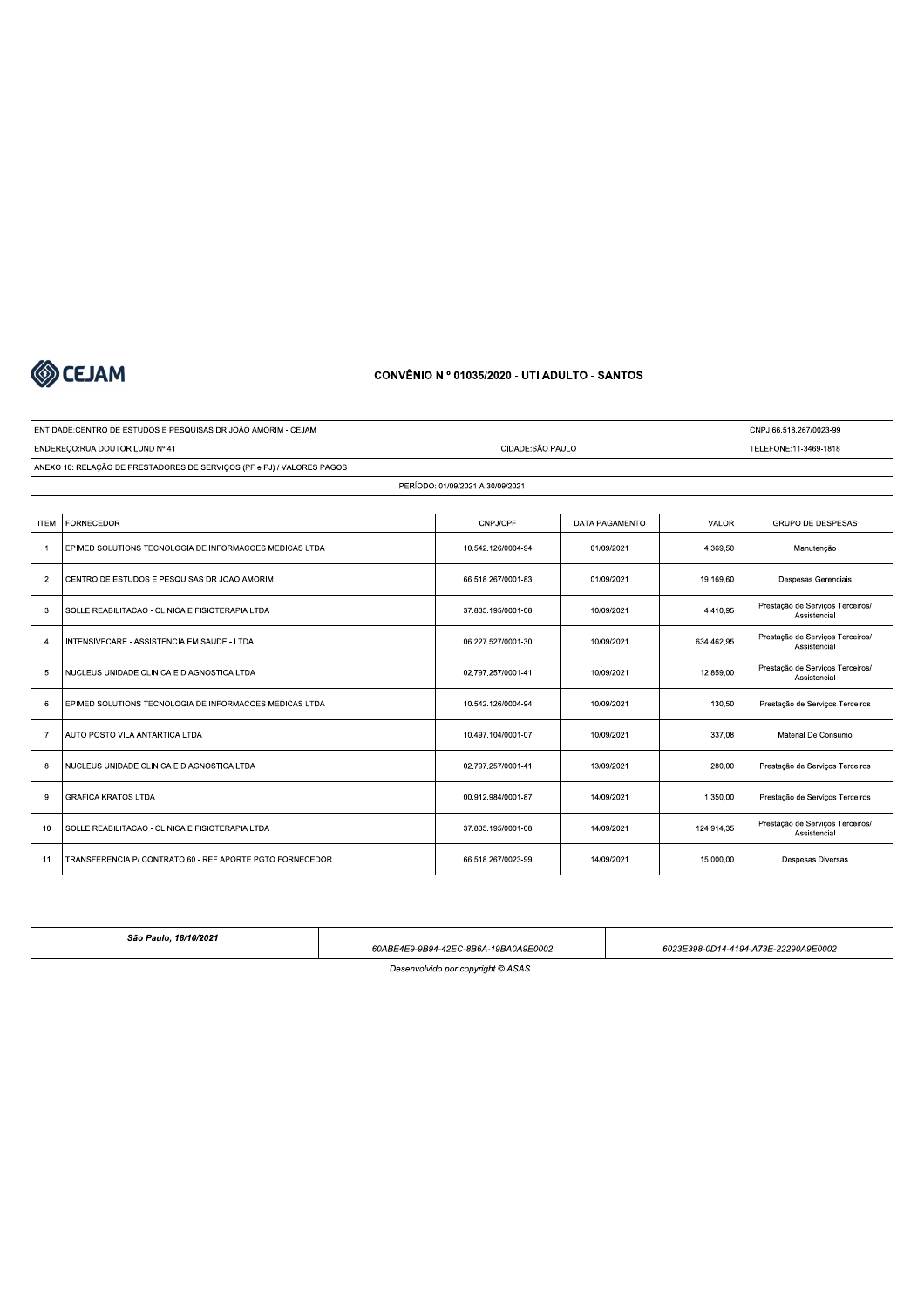

# $COMVENIO N. V 01035/2020 - U II ADULLIO - SAN I$

# ENTIDADE-CENTRO DE ESTUDOS E PESQUISAS DRJOÃO AMORIM - CEJAM<br>
ENDEREÇO-RUA DOUTOR LUND Nº 41<br>
ENDEREÇO-RUA DOUTOR LUND Nº 41<br>
ANEXO 10: RELAÇÃO DE PRESTADORES DE SERVIÇOS (PF © PJ)/VALORES PAGOS<br>
PERÍODO-01/09/2021<br>
TEM | , #( !5"! 5> 8(! (! 5 ,1%+7.%,.\*01117)37 1,0130.1., 7%2\*3@+1 (ABCD<BEFG 2 CENTRO DE ESTUDOS E PESQUISAS DR.JOAO AMORIM AND AND AND AND AN ANGLE OF A 2010 11/09/2021 (19.169,60 Despesas Gerenciais 2 10/09/2021 | 2001/2021 | 2001/2021 | 2009/2021 | 2009/2021 | 2009/2021 | 2010/2021 | 2010/2021 | 2010/2021 | 2010/2021 | 2010/2021 | 2010/2021 | 2010/2021 | 2010/2021 | 2010/2021 | 2010/2021 | 2010/2021 | 2010/2021 | 201 TENSIVECARE - ASSISTENCIA EM SAUDE - LTDA (1799/2011-30) 06.227.527/0001-30 (1799/2021 / 1891/462.95 / Prestação de Serviços Terceiros/ + 5 NUCLEUS UNIDADE CLINICA E DIAGNOSTICA LTDA<br>
10/09/2021 41 10/09/2021 41 12.859,00 42.859,00 Assistencial<br>
Assistencial \* | EPIMED SOLUTIONS TECNOLOGIA DE INFORMACOES MEDICAS LTDA | 10.52.126/0004-94 | 10/09/2021 | 130.50 | Prestação de Serviços Terceiros / The HUTO POSTO VILA ANTARTICA LTDA CONSUMO 1899/10011-07 | 10/99/2021 | 10/09/2021 | 337.08 Material De Consumo 8 NUCLEUS UNIDADE CLINICA E DIAGNOSTICA LTDA (1992) 2009/01/011/01/01/03/02021 280,00 Prestação de Serviços Terceiros 3 >8 R! 5 11%3,.%3-70111,)-/ ,70130.1., ,%2+1@11 #J<HDAEFG N< !<JOLEGH <JK<LJGH ,1 !55 M5 ) 5 8!# 5 2/%-2+%,3+0111,)1- ,70130.1., ,.7%3,7@2+ #J<HDAEFG N< !<JOLEGH <JK<LJGH0 HHLHD<BKLAP 11 TRANSFERENCIA P/ CONTRATO 60 - REF APORTE PGTO FORNECEDOR 66.518.267/0023-99 | 14/09/2021 | 15.000,00 Despesas Diversas

São Paulo, 18/10/2021  $60ABF4F9-9B94-42FC-8B6A-19B40A9F0002$  and  $6023F398-0D14-4194-A73F-22290A9F0002$ Desenvolvido por copyright © ASAS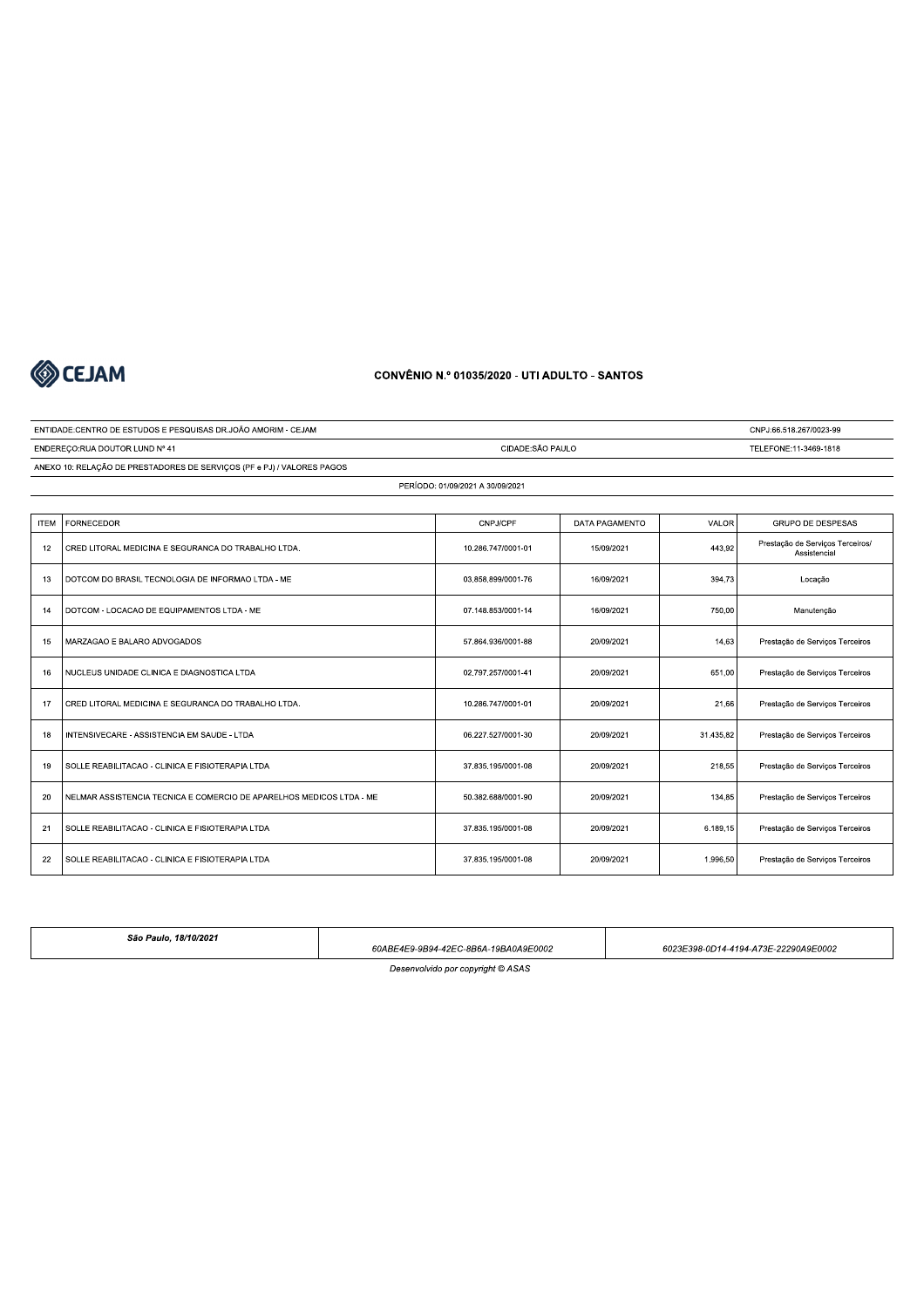

# $COMVENIO N. V 01035/2020 - U II ADULLIO - SAN I$

|             | <b>SO CEJAM</b>                                                        | CONVÊNIO N.º 01035/2020 - UTI ADULTO - SANTOS |                |           |                                                  |  |
|-------------|------------------------------------------------------------------------|-----------------------------------------------|----------------|-----------|--------------------------------------------------|--|
|             | ENTIDADE:CENTRO DE ESTUDOS E PESQUISAS DR.JOÃO AMORIM - CEJAM          |                                               |                |           | CNPJ:66.518.267/0023-99                          |  |
|             | ENDEREÇO: RUA DOUTOR LUND Nº 41                                        | CIDADE:SÃO PAULO                              |                |           | TELEFONE:11-3469-1818                            |  |
|             | ANEXO 10: RELAÇÃO DE PRESTADORES DE SERVIÇOS (PF e PJ) / VALORES PAGOS |                                               |                |           |                                                  |  |
|             |                                                                        | PERÍODO: 01/09/2021 A 30/09/2021              |                |           |                                                  |  |
|             |                                                                        |                                               |                |           |                                                  |  |
| <b>ITEM</b> | <b>FORNECEDOR</b>                                                      | CNPJ/CPF                                      | DATA PAGAMENTO | VALOR     | GRUPO DE DESPESAS                                |  |
| 12          | CRED LITORAL MEDICINA E SEGURANCA DO TRABALHO LTDA.                    | 10.286.747/0001-01                            | 15/09/2021     | 443,92    | Prestação de Serviços Terceiros/<br>Assistencial |  |
| 13          | DOTCOM DO BRASIL TECNOLOGIA DE INFORMAO LTDA - ME                      | 03.858.899/0001-76                            | 16/09/2021     | 394,73    | Locação                                          |  |
| 14          | DOTCOM - LOCACAO DE EQUIPAMENTOS LTDA - ME                             | 07.148.853/0001-14                            | 16/09/2021     | 750,00    | Manutenção                                       |  |
| 15          | MARZAGAO E BALARO ADVOGADOS                                            | 57.864.936/0001-88                            | 20/09/2021     | 14,63     | Prestação de Serviços Terceiros                  |  |
| 16          | NUCLEUS UNIDADE CLINICA E DIAGNOSTICA LTDA                             | 02.797.257/0001-41                            | 20/09/2021     | 651,00    | Prestação de Serviços Terceiros                  |  |
| 17          | CRED LITORAL MEDICINA E SEGURANCA DO TRABALHO LTDA.                    | 10.286.747/0001-01                            | 20/09/2021     | 21,66     | Prestação de Serviços Terceiros                  |  |
| 18          | INTENSIVECARE - ASSISTENCIA EM SAUDE - LTDA                            | 06.227.527/0001-30                            | 20/09/2021     | 31.435.82 | Prestação de Serviços Terceiros                  |  |
| 19          | SOLLE REABILITACAO - CLINICA E FISIOTERAPIA LTDA                       | 37.835.195/0001-08                            | 20/09/2021     | 218,55    | Prestação de Serviços Terceiros                  |  |
| 20          | NELMAR ASSISTENCIA TECNICA E COMERCIO DE APARELHOS MEDICOS LTDA - ME   | 50.382.688/0001-90                            | 20/09/2021     | 134,85    | Prestação de Serviços Terceiros                  |  |
| 21          | SOLLE REABILITACAO - CLINICA E FISIOTERAPIA LTDA                       | 37.835.195/0001-08                            | 20/09/2021     | 6.189,15  | Prestação de Serviços Terceiros                  |  |
| 22          | SOLLE REABILITACAO - CLINICA E FISIOTERAPIA LTDA                       | 37.835.195/0001-08                            | 20/09/2021     | 1.996,50  | Prestação de Serviços Terceiros                  |  |

| São Paulo. 18/10/2021             | 60ABE4E9-9B94-42EC-8B6A-19BA0A9E0002 | 6023E398-0D14-4194-A73E-22290A9E0002 |  |  |  |
|-----------------------------------|--------------------------------------|--------------------------------------|--|--|--|
| Desenvolvido por copyright © ASAS |                                      |                                      |  |  |  |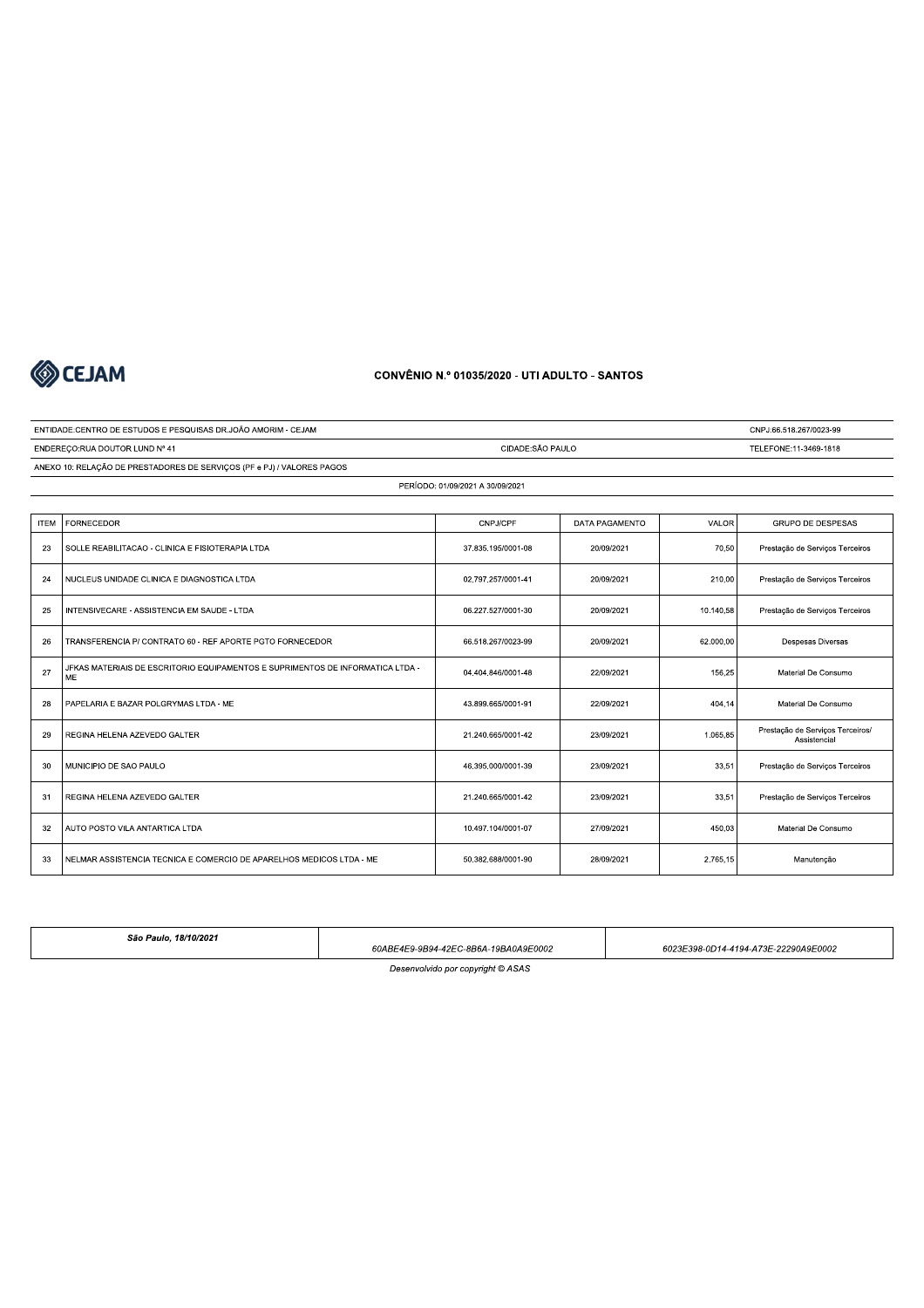

ENDEREÇO: RUA DOUTOR LUND Nº 41

ENTIDADE:CENTRO DE ESTUDOS E PESQUISAS DR.JOÃO AMORIM - CEJAM

ANEXO 10: RELAÇÃO DE PRESTADORES DE SERVIÇOS (PF e PJ) / VALORES PAGOS

### **CONVÊNIO N.º 01035/2020 - UTI ADULTO - SANTOS**

CIDADE:SÃO PAULO

CNPJ:66.518.267/0023-99

TELEFONE:11-3469-1818

#### PERÍODO: 01/09/2021 A 30/09/2021 **ITEM** FORNECEDOR CNPJ/CPF DATA PAGAMENTO VALOF GRUPO DE DESPESAS 23 SOLLE REABILITACAO - CLINICA E FISIOTERAPIA LTDA 37.835.195/0001-08 20/09/2021 70,50 Prestação de Serviços Terceiros  $24$ NUCLEUS UNIDADE CLINICA E DIAGNOSTICA LTDA 02.797.257/0001-41 20/09/2021 210,00 Prestação de Serviços Terceiros 25 INTENSIVECARE - ASSISTENCIA EM SAUDE - LTDA 06.227.527/0001-30 20/09/2021 10.140,58 Prestação de Serviços Terceiros 26 TRANSFERENCIA P/ CONTRATO 60 - REF APORTE PGTO FORNECEDOR 66.518.267/0023-99 20/09/2021 62.000,00 Despesas Diversas JFKAS MATERIAIS DE ESCRITORIO EQUIPAMENTOS E SUPRIMENTOS DE INFORMATICA LTDA -<br>ME  $27$ 04.404.846/0001-48 22/09/2021 Material De Consumo 156,25 28 PAPELARIA E BAZAR POLGRYMAS LTDA - ME 43.899.665/0001-91 22/09/2021 404.14 Material De Consumo Prestação de Serviços Terceiros/<br>Assistencial 29 REGINA HELENA AZEVEDO GALTER 21 240 665/0001-42 23/09/2021 1.065.85  $30$ MUNICIPIO DE SAO PAULO 46.395.000/0001-39 23/09/2021  $33,5'$ Prestação de Serviços Terceiros  $31$ REGINA HELENA AZEVEDO GALTER 21.240.665/0001-42 23/09/2021 33,51 Prestação de Serviços Terceiros  $32$ AUTO POSTO VILA ANTARTICA LTDA 10.497.104/0001-07 27/09/2021 450,03 Material De Consumo  $33$ NELMAR ASSISTENCIA TECNICA E COMERCIO DE APARELHOS MEDICOS LTDA - ME 50.382.688/0001-90 28/09/2021 2.765,15 Manutenção

São Paulo, 18/10/2021 60ABE4E9-9B94-42EC-8B6A-19BA0A9E0002 6023E398-0D14-4194-A73E-22290A9E0002 Desenvolvido por copyright © ASAS